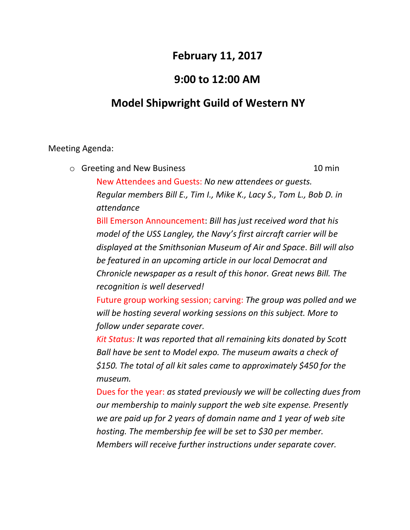# **February 11, 2017**

## **9:00 to 12:00 AM**

# **Model Shipwright Guild of Western NY**

### Meeting Agenda:

o Greeting and New Business 10 min New Attendees and Guests: *No new attendees or guests. Regular members Bill E., Tim I., Mike K., Lacy S., Tom L., Bob D. in attendance*

Bill Emerson Announcement: *Bill has just received word that his model of the USS Langley, the Navy's first aircraft carrier will be displayed at the Smithsonian Museum of Air and Space*. *Bill will also be featured in an upcoming article in our local Democrat and Chronicle newspaper as a result of this honor. Great news Bill. The recognition is well deserved!*

Future group working session; carving: *The group was polled and we will be hosting several working sessions on this subject. More to follow under separate cover.*

*Kit Status: It was reported that all remaining kits donated by Scott Ball have be sent to Model expo. The museum awaits a check of \$150. The total of all kit sales came to approximately \$450 for the museum.*

Dues for the year: *as stated previously we will be collecting dues from our membership to mainly support the web site expense. Presently we are paid up for 2 years of domain name and 1 year of web site hosting. The membership fee will be set to \$30 per member. Members will receive further instructions under separate cover.*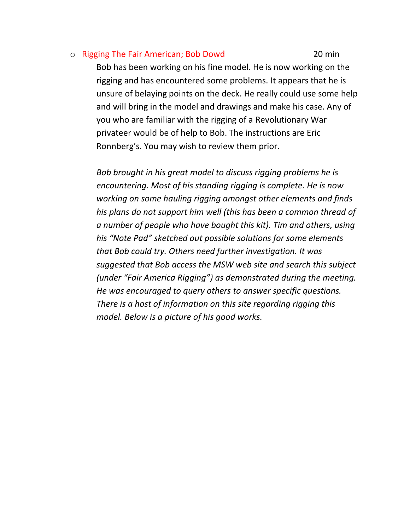#### o Rigging The Fair American; Bob Dowd 20 min

Bob has been working on his fine model. He is now working on the rigging and has encountered some problems. It appears that he is unsure of belaying points on the deck. He really could use some help and will bring in the model and drawings and make his case. Any of you who are familiar with the rigging of a Revolutionary War privateer would be of help to Bob. The instructions are Eric Ronnberg's. You may wish to review them prior.

*Bob brought in his great model to discuss rigging problems he is encountering. Most of his standing rigging is complete. He is now working on some hauling rigging amongst other elements and finds his plans do not support him well (this has been a common thread of a number of people who have bought this kit). Tim and others, using his "Note Pad" sketched out possible solutions for some elements that Bob could try. Others need further investigation. It was suggested that Bob access the MSW web site and search this subject (under "Fair America Rigging") as demonstrated during the meeting. He was encouraged to query others to answer specific questions. There is a host of information on this site regarding rigging this model. Below is a picture of his good works.*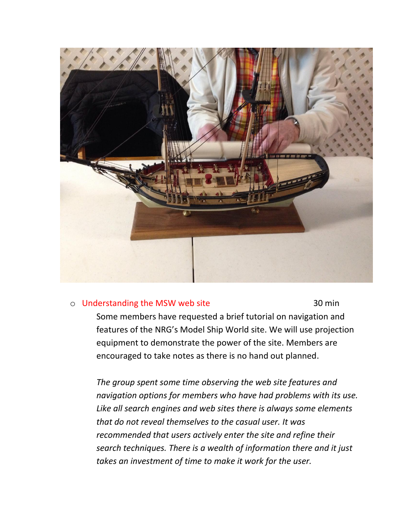

#### o Understanding the MSW web site 30 min

Some members have requested a brief tutorial on navigation and features of the NRG's Model Ship World site. We will use projection equipment to demonstrate the power of the site. Members are encouraged to take notes as there is no hand out planned.

*The group spent some time observing the web site features and navigation options for members who have had problems with its use. Like all search engines and web sites there is always some elements that do not reveal themselves to the casual user. It was recommended that users actively enter the site and refine their search techniques. There is a wealth of information there and it just takes an investment of time to make it work for the user.*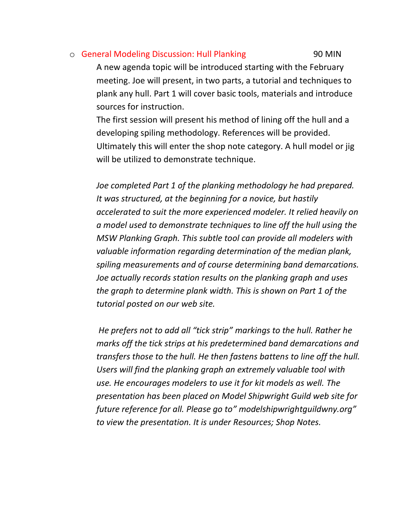### o General Modeling Discussion: Hull Planking 190 MIN

A new agenda topic will be introduced starting with the February meeting. Joe will present, in two parts, a tutorial and techniques to plank any hull. Part 1 will cover basic tools, materials and introduce sources for instruction.

The first session will present his method of lining off the hull and a developing spiling methodology. References will be provided. Ultimately this will enter the shop note category. A hull model or jig will be utilized to demonstrate technique.

*Joe completed Part 1 of the planking methodology he had prepared. It was structured, at the beginning for a novice, but hastily accelerated to suit the more experienced modeler. It relied heavily on a model used to demonstrate techniques to line off the hull using the MSW Planking Graph. This subtle tool can provide all modelers with valuable information regarding determination of the median plank, spiling measurements and of course determining band demarcations. Joe actually records station results on the planking graph and uses the graph to determine plank width. This is shown on Part 1 of the tutorial posted on our web site.*

*He prefers not to add all "tick strip" markings to the hull. Rather he marks off the tick strips at his predetermined band demarcations and transfers those to the hull. He then fastens battens to line off the hull. Users will find the planking graph an extremely valuable tool with use. He encourages modelers to use it for kit models as well. The presentation has been placed on Model Shipwright Guild web site for future reference for all. Please go to" modelshipwrightguildwny.org" to view the presentation. It is under Resources; Shop Notes.*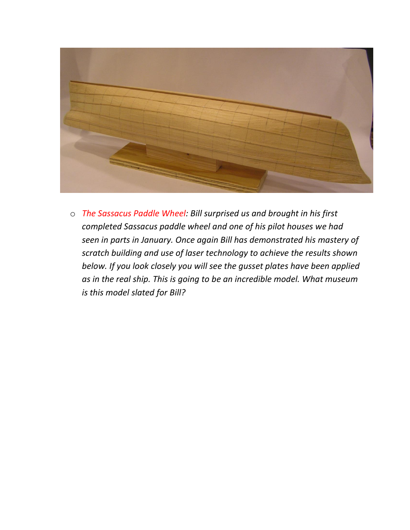

o *The Sassacus Paddle Wheel: Bill surprised us and brought in his first completed Sassacus paddle wheel and one of his pilot houses we had seen in parts in January. Once again Bill has demonstrated his mastery of scratch building and use of laser technology to achieve the results shown below. If you look closely you will see the gusset plates have been applied as in the real ship. This is going to be an incredible model. What museum is this model slated for Bill?*